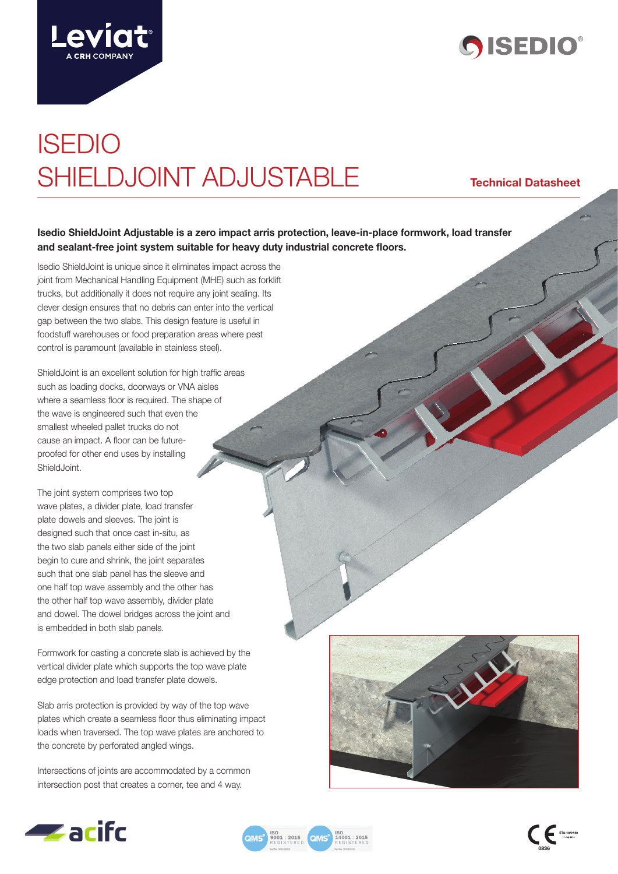



# ISEDIO SHIELDJOINT ADJUSTABLE **Technical Datasheet**

### **Isedio ShieldJoint Adjustable is a zero impact arris protection, leave-in-place formwork, load transfer and sealant-free joint system suitable for heavy duty industrial concrete floors.**

Isedio ShieldJoint is unique since it eliminates impact across the joint from Mechanical Handling Equipment (MHE) such as forklift trucks, but additionally it does not require any joint sealing. Its clever design ensures that no debris can enter into the vertical gap between the two slabs. This design feature is useful in foodstuff warehouses or food preparation areas where pest control is paramount (available in stainless steel).

ShieldJoint is an excellent solution for high traffic areas such as loading docks, doorways or VNA aisles where a seamless floor is required. The shape of the wave is engineered such that even the smallest wheeled pallet trucks do not cause an impact. A floor can be futureproofed for other end uses by installing Shield, Joint.

The joint system comprises two top wave plates, a divider plate, load transfer plate dowels and sleeves. The joint is designed such that once cast in-situ, as the two slab panels either side of the joint begin to cure and shrink, the joint separates such that one slab panel has the sleeve and one half top wave assembly and the other has the other half top wave assembly, divider plate and dowel. The dowel bridges across the joint and is embedded in both slab panels.

Formwork for casting a concrete slab is achieved by the vertical divider plate which supports the top wave plate edge protection and load transfer plate dowels.

Slab arris protection is provided by way of the top wave plates which create a seamless floor thus eliminating impact loads when traversed. The top wave plates are anchored to the concrete by perforated angled wings.

Intersections of joints are accommodated by a common intersection post that creates a corner, tee and 4 way.







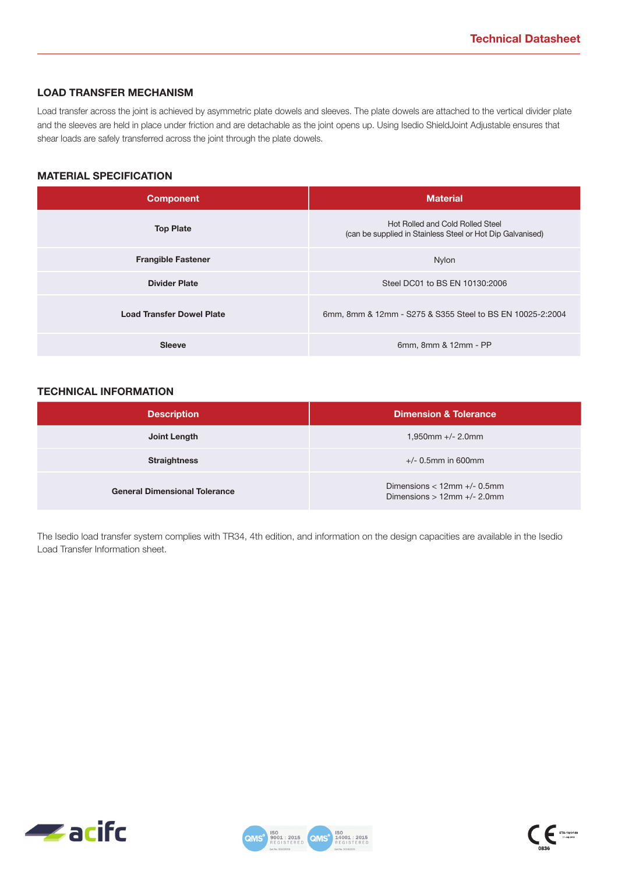#### **LOAD TRANSFER MECHANISM**

Load transfer across the joint is achieved by asymmetric plate dowels and sleeves. The plate dowels are attached to the vertical divider plate and the sleeves are held in place under friction and are detachable as the joint opens up. Using Isedio ShieldJoint Adjustable ensures that shear loads are safely transferred across the joint through the plate dowels.

### **MATERIAL SPECIFICATION**

| <b>Component</b>                 | <b>Material</b>                                                                                |  |
|----------------------------------|------------------------------------------------------------------------------------------------|--|
| <b>Top Plate</b>                 | Hot Rolled and Cold Rolled Steel<br>(can be supplied in Stainless Steel or Hot Dip Galvanised) |  |
| <b>Frangible Fastener</b>        | Nylon                                                                                          |  |
| <b>Divider Plate</b>             | Steel DC01 to BS EN 10130:2006                                                                 |  |
| <b>Load Transfer Dowel Plate</b> | 6mm, 8mm & 12mm - S275 & S355 Steel to BS EN 10025-2:2004                                      |  |
| <b>Sleeve</b>                    | 6mm, 8mm & 12mm - PP                                                                           |  |

#### **TECHNICAL INFORMATION**

| <b>Description</b>                   | <b>Dimension &amp; Tolerance</b>                                     |
|--------------------------------------|----------------------------------------------------------------------|
| Joint Length                         | $1,950$ mm +/- 2.0mm                                                 |
| <b>Straightness</b>                  | $+/- 0.5$ mm in 600mm                                                |
| <b>General Dimensional Tolerance</b> | Dimensions $<$ 12mm $+/-$ 0.5mm<br>Dimensions $> 12$ mm $+/- 2.0$ mm |

The Isedio load transfer system complies with TR34, 4th edition, and information on the design capacities are available in the Isedio Load Transfer Information sheet.